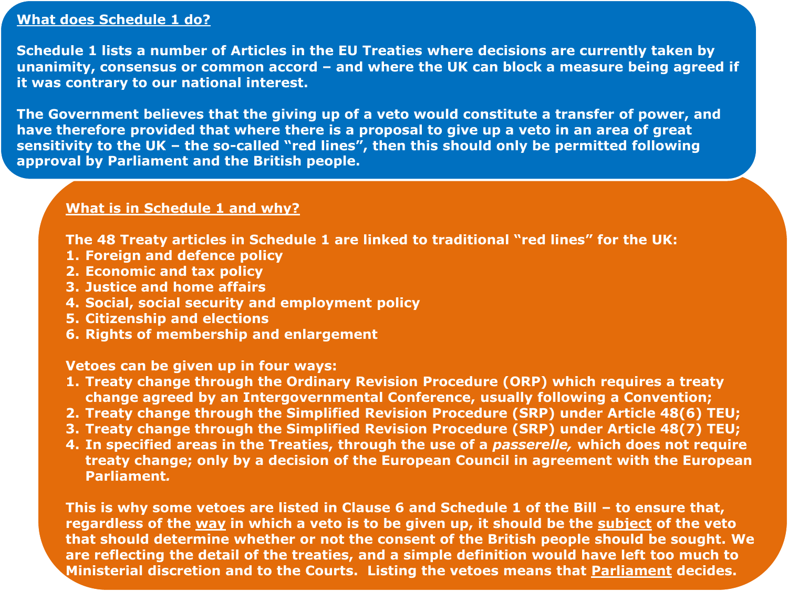## **What does Schedule 1 do?**

**Schedule 1 lists a number of Articles in the EU Treaties where decisions are currently taken by unanimity, consensus or common accord – and where the UK can block a measure being agreed if it was contrary to our national interest.** 

**The Government believes that the giving up of a veto would constitute a transfer of power, and have therefore provided that where there is a proposal to give up a veto in an area of great sensitivity to the UK – the so-called "red lines", then this should only be permitted following approval by Parliament and the British people.** 

#### **What is in Schedule 1 and why?**

**The 48 Treaty articles in Schedule 1 are linked to traditional "red lines" for the UK:**

- **1. Foreign and defence policy**
- **2. Economic and tax policy**
- **3. Justice and home affairs**
- **4. Social, social security and employment policy**
- **5. Citizenship and elections**
- **6. Rights of membership and enlargement**

**Vetoes can be given up in four ways:**

- **1. Treaty change through the Ordinary Revision Procedure (ORP) which requires a treaty change agreed by an Intergovernmental Conference, usually following a Convention;**
- **2. Treaty change through the Simplified Revision Procedure (SRP) under Article 48(6) TEU;**
- **3. Treaty change through the Simplified Revision Procedure (SRP) under Article 48(7) TEU;**
- **4. In specified areas in the Treaties, through the use of a** *passerelle,* **which does not require treaty change; only by a decision of the European Council in agreement with the European Parliament***.*

**This is why some vetoes are listed in Clause 6 and Schedule 1 of the Bill – to ensure that, regardless of the way in which a veto is to be given up, it should be the subject of the veto that should determine whether or not the consent of the British people should be sought. We are reflecting the detail of the treaties, and a simple definition would have left too much to Ministerial discretion and to the Courts. Listing the vetoes means that Parliament decides.**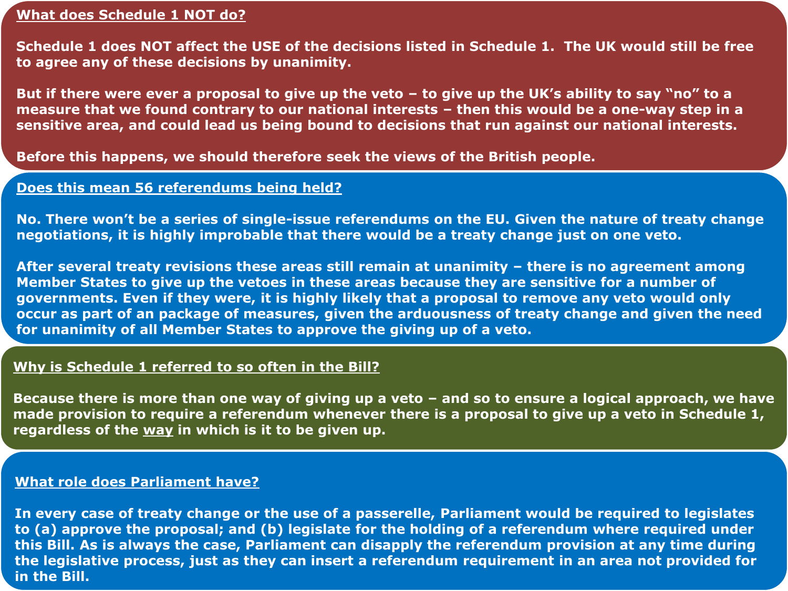## **What does Schedule 1 NOT do?**

**Schedule 1 does NOT affect the USE of the decisions listed in Schedule 1. The UK would still be free to agree any of these decisions by unanimity.** 

**But if there were ever a proposal to give up the veto – to give up the UK's ability to say "no" to a measure that we found contrary to our national interests – then this would be a one-way step in a sensitive area, and could lead us being bound to decisions that run against our national interests.** 

**Before this happens, we should therefore seek the views of the British people.**

## **Does this mean 56 referendums being held?**

**No. There won't be a series of single-issue referendums on the EU. Given the nature of treaty change negotiations, it is highly improbable that there would be a treaty change just on one veto.** 

**After several treaty revisions these areas still remain at unanimity – there is no agreement among Member States to give up the vetoes in these areas because they are sensitive for a number of governments. Even if they were, it is highly likely that a proposal to remove any veto would only occur as part of an package of measures, given the arduousness of treaty change and given the need for unanimity of all Member States to approve the giving up of a veto.**

## **Why is Schedule 1 referred to so often in the Bill?**

**Because there is more than one way of giving up a veto – and so to ensure a logical approach, we have made provision to require a referendum whenever there is a proposal to give up a veto in Schedule 1, regardless of the way in which is it to be given up.** 

## **What role does Parliament have?**

**In every case of treaty change or the use of a passerelle, Parliament would be required to legislates to (a) approve the proposal; and (b) legislate for the holding of a referendum where required under this Bill. As is always the case, Parliament can disapply the referendum provision at any time during the legislative process, just as they can insert a referendum requirement in an area not provided for in the Bill.**